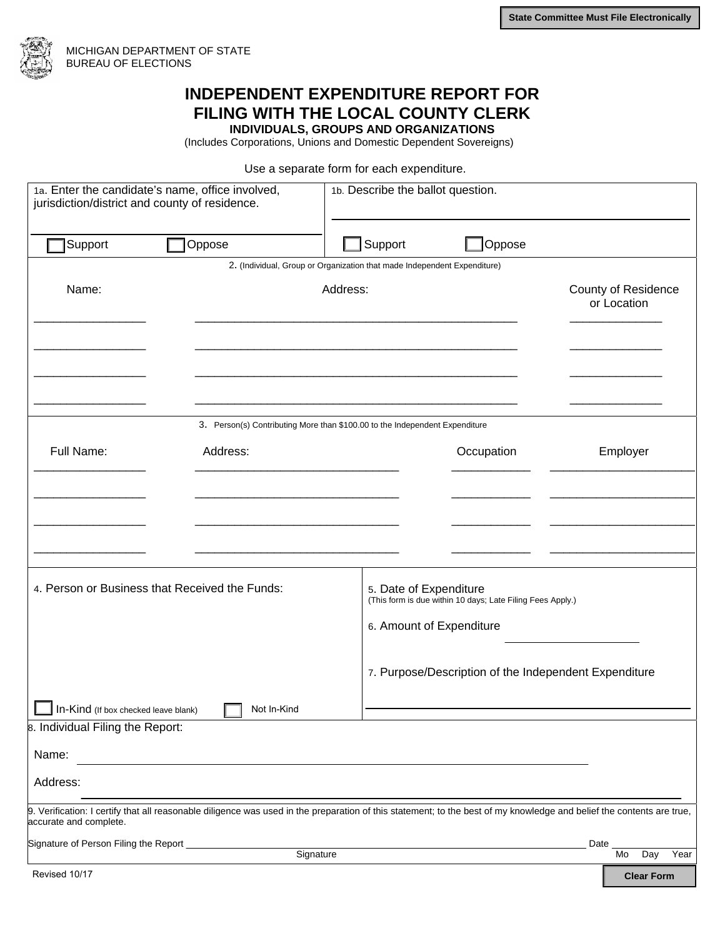

## **INDEPENDENT EXPENDITURE REPORT FOR FILING WITH THE LOCAL COUNTY CLERK INDIVIDUALS, GROUPS AND ORGANIZATIONS**

(Includes Corporations, Unions and Domestic Dependent Sovereigns)

Use a separate form for each expenditure.

| 1a. Enter the candidate's name, office involved,<br>jurisdiction/district and county of residence. |                                                                                                                                                                       | 1b. Describe the ballot question.                                           |                                                                                      |                                           |  |
|----------------------------------------------------------------------------------------------------|-----------------------------------------------------------------------------------------------------------------------------------------------------------------------|-----------------------------------------------------------------------------|--------------------------------------------------------------------------------------|-------------------------------------------|--|
| Support                                                                                            | Oppose                                                                                                                                                                | $\exists$ Support                                                           | Oppose                                                                               |                                           |  |
|                                                                                                    |                                                                                                                                                                       | 2. (Individual, Group or Organization that made Independent Expenditure)    |                                                                                      |                                           |  |
| Name:                                                                                              |                                                                                                                                                                       | Address:                                                                    |                                                                                      | <b>County of Residence</b><br>or Location |  |
|                                                                                                    |                                                                                                                                                                       |                                                                             |                                                                                      |                                           |  |
|                                                                                                    |                                                                                                                                                                       | 3. Person(s) Contributing More than \$100.00 to the Independent Expenditure |                                                                                      |                                           |  |
| Full Name:                                                                                         | Address:                                                                                                                                                              |                                                                             | Occupation                                                                           | Employer                                  |  |
|                                                                                                    |                                                                                                                                                                       |                                                                             |                                                                                      |                                           |  |
|                                                                                                    |                                                                                                                                                                       |                                                                             |                                                                                      |                                           |  |
|                                                                                                    |                                                                                                                                                                       |                                                                             |                                                                                      |                                           |  |
|                                                                                                    | 4. Person or Business that Received the Funds:                                                                                                                        |                                                                             | 5. Date of Expenditure<br>(This form is due within 10 days; Late Filing Fees Apply.) |                                           |  |
|                                                                                                    |                                                                                                                                                                       | 6. Amount of Expenditure                                                    |                                                                                      |                                           |  |
|                                                                                                    |                                                                                                                                                                       |                                                                             | 7. Purpose/Description of the Independent Expenditure                                |                                           |  |
| In-Kind (If box checked leave blank)                                                               | Not In-Kind                                                                                                                                                           |                                                                             |                                                                                      |                                           |  |
| 8. Individual Filing the Report:                                                                   |                                                                                                                                                                       |                                                                             |                                                                                      |                                           |  |
| Name:                                                                                              |                                                                                                                                                                       |                                                                             |                                                                                      |                                           |  |
| Address:                                                                                           |                                                                                                                                                                       |                                                                             |                                                                                      |                                           |  |
| accurate and complete.                                                                             | 9. Verification: I certify that all reasonable diligence was used in the preparation of this statement; to the best of my knowledge and belief the contents are true, |                                                                             |                                                                                      |                                           |  |
| Signature of Person Filing the Report _                                                            |                                                                                                                                                                       |                                                                             |                                                                                      | Date                                      |  |
| Revised 10/17                                                                                      |                                                                                                                                                                       | Signature                                                                   |                                                                                      | Mo<br>Day<br>Year                         |  |
|                                                                                                    |                                                                                                                                                                       |                                                                             |                                                                                      | <b>Clear Form</b>                         |  |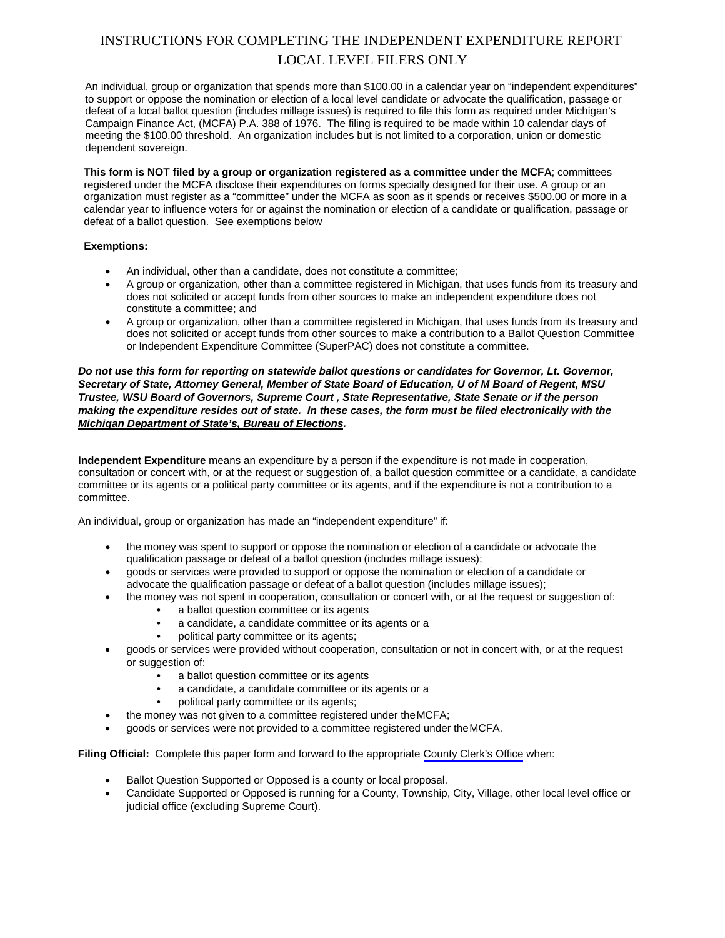## INSTRUCTIONS FOR COMPLETING THE INDEPENDENT EXPENDITURE REPORT LOCAL LEVEL FILERS ONLY

An individual, group or organization that spends more than \$100.00 in a calendar year on "independent expenditures" to support or oppose the nomination or election of a local level candidate or advocate the qualification, passage or defeat of a local ballot question (includes millage issues) is required to file this form as required under Michigan's Campaign Finance Act, (MCFA) P.A. 388 of 1976. The filing is required to be made within 10 calendar days of meeting the \$100.00 threshold. An organization includes but is not limited to a corporation, union or domestic dependent sovereign.

**This form is NOT filed by a group or organization registered as a committee under the MCFA**; committees registered under the MCFA disclose their expenditures on forms specially designed for their use. A group or an organization must register as a "committee" under the MCFA as soon as it spends or receives \$500.00 or more in a calendar year to influence voters for or against the nomination or election of a candidate or qualification, passage or defeat of a ballot question. See exemptions below

## **Exemptions:**

- An individual, other than a candidate, does not constitute a committee;
- A group or organization, other than a committee registered in Michigan, that uses funds from its treasury and does not solicited or accept funds from other sources to make an independent expenditure does not constitute a committee; and
- A group or organization, other than a committee registered in Michigan, that uses funds from its treasury and does not solicited or accept funds from other sources to make a contribution to a Ballot Question Committee or Independent Expenditure Committee (SuperPAC) does not constitute a committee.

*Do not use this form for reporting on statewide ballot questions or candidates for Governor, Lt. Governor, Secretary of State, Attorney General, Member of State Board of Education, U of M Board of Regent, MSU Trustee, WSU Board of Governors, Supreme Court , State Representative, State Senate or if the person making the expenditure resides out of state. In these cases, the form must be filed electronically with the Michigan Department of State's, Bureau of Elections.* 

**Independent Expenditure** means an expenditure by a person if the expenditure is not made in cooperation, consultation or concert with, or at the request or suggestion of, a ballot question committee or a candidate, a candidate committee or its agents or a political party committee or its agents, and if the expenditure is not a contribution to a committee.

An individual, group or organization has made an "independent expenditure" if:

- the money was spent to support or oppose the nomination or election of a candidate or advocate the qualification passage or defeat of a ballot question (includes millage issues);
- goods or services were provided to support or oppose the nomination or election of a candidate or advocate the qualification passage or defeat of a ballot question (includes millage issues);
- the money was not spent in cooperation, consultation or concert with, or at the request or suggestion of:
	- a ballot question committee or its agents
	- a candidate, a candidate committee or its agents or a
	- political party committee or its agents;
- goods or services were provided without cooperation, consultation or not in concert with, or at the request or suggestion of:
	- a ballot question committee or its agents
	- a candidate, a candidate committee or its agents or a
	- political party committee or its agents;
- the money was not given to a committee registered under the MCFA;
- goods or services were not provided to a committee registered under the MCFA.

**Filing Official:** Complete this paper form and forward to the appropriate County [Clerk's Office](http://www.michigan.gov/sos/0,4670,7-127-1633_8722-103241--,00.html) when:

- Ballot Question Supported or Opposed is a county or local proposal.
- Candidate Supported or Opposed is running for a County, Township, City, Village, other local level office or judicial office (excluding Supreme Court).